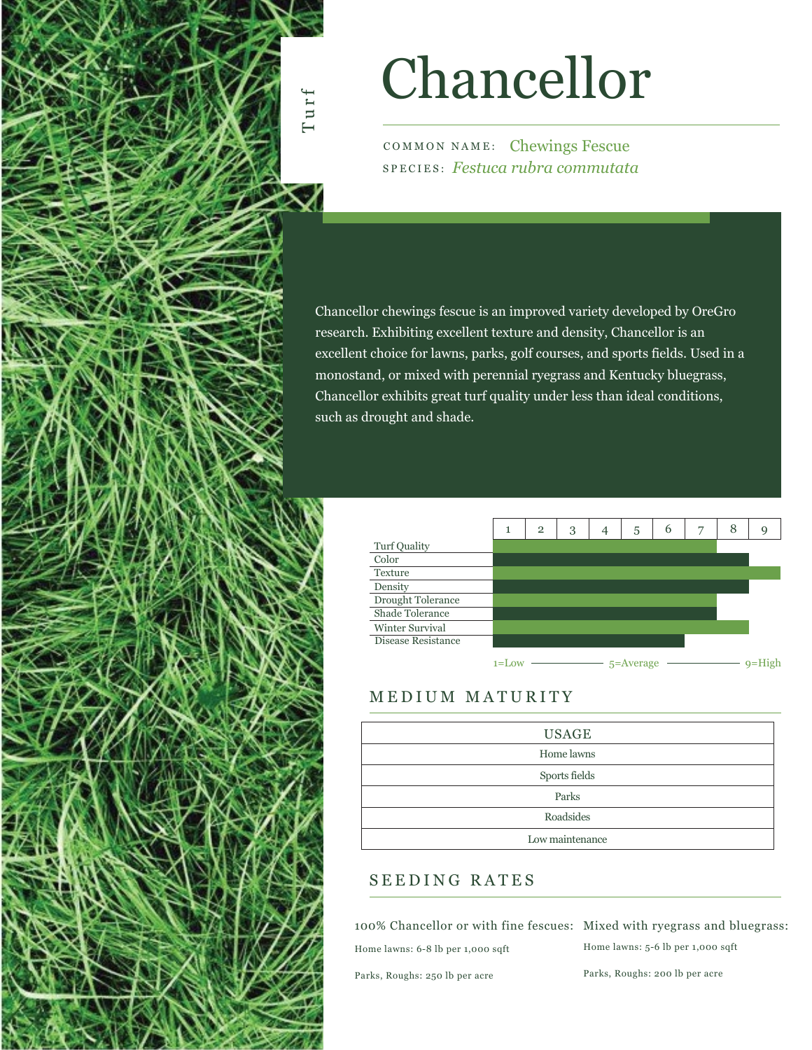# Chancellor

COMMON NAME: Chewings Fescue SPECIES: *Festuca rubra commutata*

Turf

Chancellor chewings fescue is an improved variety developed by OreGro research. Exhibiting excellent texture and density, Chancellor is an excellent choice for lawns, parks, golf courses, and sports fields. Used in a monostand, or mixed with perennial ryegrass and Kentucky bluegrass, Chancellor exhibits great turf quality under less than ideal conditions, such as drought and shade.

|                    |       | $\overline{2}$ | 3 | 4 | 5             | 6 | 7 | 8 |              |
|--------------------|-------|----------------|---|---|---------------|---|---|---|--------------|
| Turf Quality       |       |                |   |   |               |   |   |   |              |
| Color              |       |                |   |   |               |   |   |   |              |
| Texture            |       |                |   |   |               |   |   |   |              |
| Density            |       |                |   |   |               |   |   |   |              |
| Drought Tolerance  |       |                |   |   |               |   |   |   |              |
| Shade Tolerance    |       |                |   |   |               |   |   |   |              |
| Winter Survival    |       |                |   |   |               |   |   |   |              |
| Disease Resistance |       |                |   |   |               |   |   |   |              |
|                    | 1=Low |                |   |   | $5 =$ Average |   |   |   | igh<br>$Q=H$ |

## MEDIUM MATURITY

| <b>USAGE</b>    |
|-----------------|
| Home lawns      |
| Sports fields   |
| Parks           |
| Roadsides       |
| Low maintenance |

## SEEDING RATES

100% Chancellor or with fine fescues: Mixed with ryegrass and bluegrass:

Home lawns: 6-8 lb per 1,000 sqft

Home lawns: 5-6 lb per 1,000 sqft

Parks, Roughs: 250 lb per acre

Parks, Roughs: 200 lb per acre